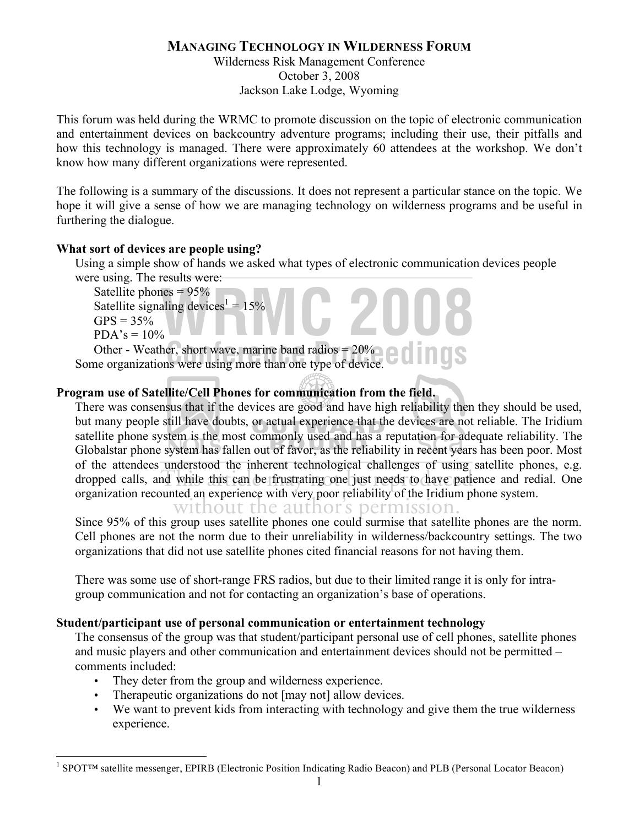# **MANAGING TECHNOLOGY IN WILDERNESS FORUM**

Wilderness Risk Management Conference October 3, 2008 Jackson Lake Lodge, Wyoming

This forum was held during the WRMC to promote discussion on the topic of electronic communication and entertainment devices on backcountry adventure programs; including their use, their pitfalls and how this technology is managed. There were approximately 60 attendees at the workshop. We don't know how many different organizations were represented.

The following is a summary of the discussions. It does not represent a particular stance on the topic. We hope it will give a sense of how we are managing technology on wilderness programs and be useful in furthering the dialogue.

### **What sort of devices are people using?**

Using a simple show of hands we asked what types of electronic communication devices people were using. The results were:

```
Satellite phones = 95\%Satellite signaling devices<sup>1</sup> = 15\%GPS = 35%PDA's = 10%\frac{\text{nes} = 95\%}{\text{align}}<br>
WE added \frac{1}{2}
```
Other - Weather, short wave, marine band radios  $= 20\%$ Other - Weather, short wave, marine band radios =  $20\%$  **Conference Process** Some organizations were using more than one type of device.

### **Program use of Satellite/Cell Phones for communication from the field.**

There was consensus that if the devices are good and have high reliability then they should be used, but many people still have doubts, or actual experience that the devices are not reliable. The Iridium satellite phone system is the most commonly used and has a reputation for adequate reliability. The Globalstar phone system has fallen out of favor, as the reliability in recent years has been poor. Most of the attendees understood the inherent technological challenges of using satellite phones, e.g. dropped calls, and while this can be frustrating one just needs to have patience and redial. One organization recounted an experience with very poor reliability of the Iridium phone system.

# without the author's permission.

Since 95% of this group uses satellite phones one could surmise that satellite phones are the norm. Cell phones are not the norm due to their unreliability in wilderness/backcountry settings. The two organizations that did not use satellite phones cited financial reasons for not having them.

There was some use of short-range FRS radios, but due to their limited range it is only for intragroup communication and not for contacting an organization's base of operations.

### **Student/participant use of personal communication or entertainment technology**

The consensus of the group was that student/participant personal use of cell phones, satellite phones and music players and other communication and entertainment devices should not be permitted – comments included:

- They deter from the group and wilderness experience.
- Therapeutic organizations do not [may not] allow devices.
- We want to prevent kids from interacting with technology and give them the true wilderness experience.

 $\frac{1}{1}$ SPOT™ satellite messenger, EPIRB (Electronic Position Indicating Radio Beacon) and PLB (Personal Locator Beacon)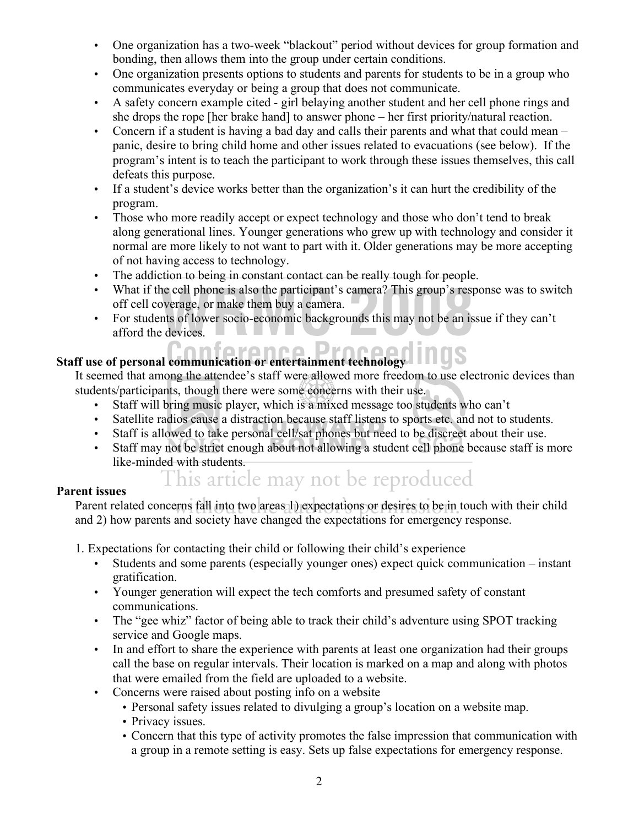- One organization has a two-week "blackout" period without devices for group formation and bonding, then allows them into the group under certain conditions.
- One organization presents options to students and parents for students to be in a group who communicates everyday or being a group that does not communicate.
- A safety concern example cited girl belaying another student and her cell phone rings and she drops the rope [her brake hand] to answer phone – her first priority/natural reaction.
- Concern if a student is having a bad day and calls their parents and what that could mean panic, desire to bring child home and other issues related to evacuations (see below). If the program's intent is to teach the participant to work through these issues themselves, this call defeats this purpose.
- If a student's device works better than the organization's it can hurt the credibility of the program.
- Those who more readily accept or expect technology and those who don't tend to break along generational lines. Younger generations who grew up with technology and consider it normal are more likely to not want to part with it. Older generations may be more accepting of not having access to technology.
- The addiction to being in constant contact can be really tough for people.
- What if the cell phone is also the participant's camera? This group's response was to switch off cell coverage, or make them buy a camera.
- For students of lower socio-economic backgrounds this may not be an issue if they can't afford the devices. the cell phone is also the participant's camera? This group's resp<br>by a camera.<br>this of lower socio-economic backgrounds this may not be an is<br>exicutes.

# **Staff use of personal communication or entertainment technology<br>
Conference Processes**

It seemed that among the attendee's staff were allowed more freedom to use electronic devices than students/participants, though there were some concerns with their use.

- Staff will bring music player, which is a mixed message too students who can't
- Satellite radios cause a distraction because staff listens to sports etc. and not to students.
- Staff is allowed to take personal cell/sat phones but need to be discreet about their use.
- Staff may not be strict enough about not allowing a student cell phone because staff is more like-minded with students.

# This article may not be reproduced

### **Parent issues**

Parent related concerns fall into two areas 1) expectations or desires to be in touch with their child and 2) have generate and assists have alwaysed the authorities for experience regions. and 2) how parents and society have changed the expectations for emergency response.

1. Expectations for contacting their child or following their child's experience

- Students and some parents (especially younger ones) expect quick communication instant gratification.
- Younger generation will expect the tech comforts and presumed safety of constant communications.
- The "gee whiz" factor of being able to track their child's adventure using SPOT tracking service and Google maps.
- In and effort to share the experience with parents at least one organization had their groups call the base on regular intervals. Their location is marked on a map and along with photos that were emailed from the field are uploaded to a website.
- Concerns were raised about posting info on a website
	- Personal safety issues related to divulging a group's location on a website map.
	- Privacy issues.
	- Concern that this type of activity promotes the false impression that communication with a group in a remote setting is easy. Sets up false expectations for emergency response.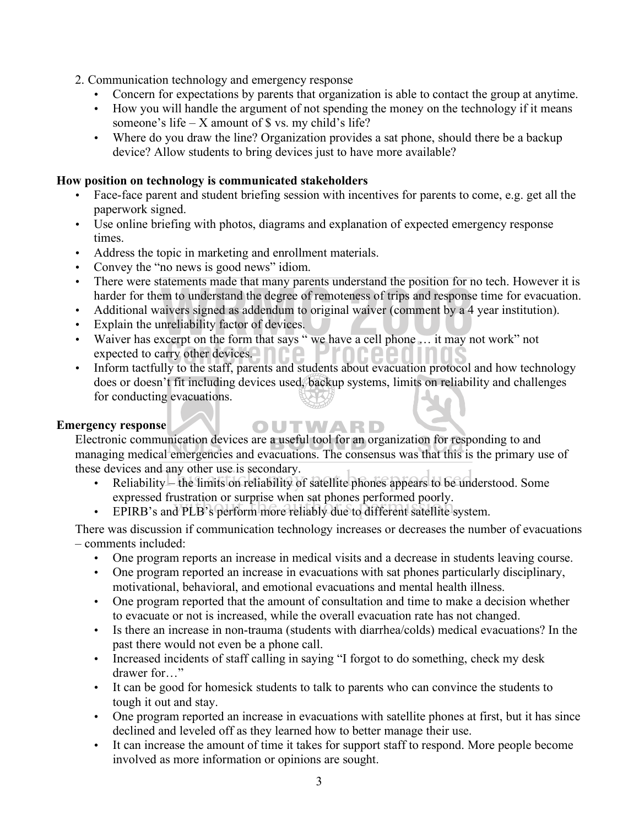- 2. Communication technology and emergency response
	- Concern for expectations by parents that organization is able to contact the group at anytime.
	- How you will handle the argument of not spending the money on the technology if it means someone's life – X amount of  $\frac{1}{2}$  vs. my child's life?
	- Where do you draw the line? Organization provides a sat phone, should there be a backup device? Allow students to bring devices just to have more available?

### **How position on technology is communicated stakeholders**

- Face-face parent and student briefing session with incentives for parents to come, e.g. get all the paperwork signed.
- Use online briefing with photos, diagrams and explanation of expected emergency response times.
- Address the topic in marketing and enrollment materials.
- Convey the "no news is good news" idiom.
- There were statements made that many parents understand the position for no tech. However it is harder for them to understand the degree of remoteness of trips and response time for evacuation.<br>Additional waivers signed as addendum to original waiver (comment by a 4 year institution).<br>Explain the unreliability factor
- Additional waivers signed as addendum to original waiver (comment by a 4 year institution).
- Explain the unreliability factor of devices.
- Waiver has excerpt on the form that says " we have a cell phone ... it may not work" not expected to carry other devices. • Warver has execrpt on the form that says we have a cent phone ... It has not work hot expected to carry other devices.<br>• Inform tactfully to the staff, parents and students about evacuation protocol and how technology
- does or doesn't fit including devices used, backup systems, limits on reliability and challenges for conducting evacuations.

### **Emergency response**

OUTWARD Electronic communication devices are a useful tool for an organization for responding to and managing medical emergencies and evacuations. The consensus was that this is the primary use of these devices and any other use is secondary.

- e devices and any other use is secondary.<br>• Reliability the limits on reliability of satellite phones appears to be understood. Some expressed frustration or surprise when sat phones performed poorly.
- expressed rrustration or surprise when sat phones performed poorly.<br>• EPIRB's and PLB's perform more reliably due to different satellite system.

There was discussion if communication technology increases or decreases the number of evacuations – comments included:

- One program reports an increase in medical visits and a decrease in students leaving course.
- One program reported an increase in evacuations with sat phones particularly disciplinary, motivational, behavioral, and emotional evacuations and mental health illness.
- One program reported that the amount of consultation and time to make a decision whether to evacuate or not is increased, while the overall evacuation rate has not changed.
- Is there an increase in non-trauma (students with diarrhea/colds) medical evacuations? In the past there would not even be a phone call.
- Increased incidents of staff calling in saying "I forgot to do something, check my desk drawer for…"
- It can be good for homesick students to talk to parents who can convince the students to tough it out and stay.
- One program reported an increase in evacuations with satellite phones at first, but it has since declined and leveled off as they learned how to better manage their use.
- It can increase the amount of time it takes for support staff to respond. More people become involved as more information or opinions are sought.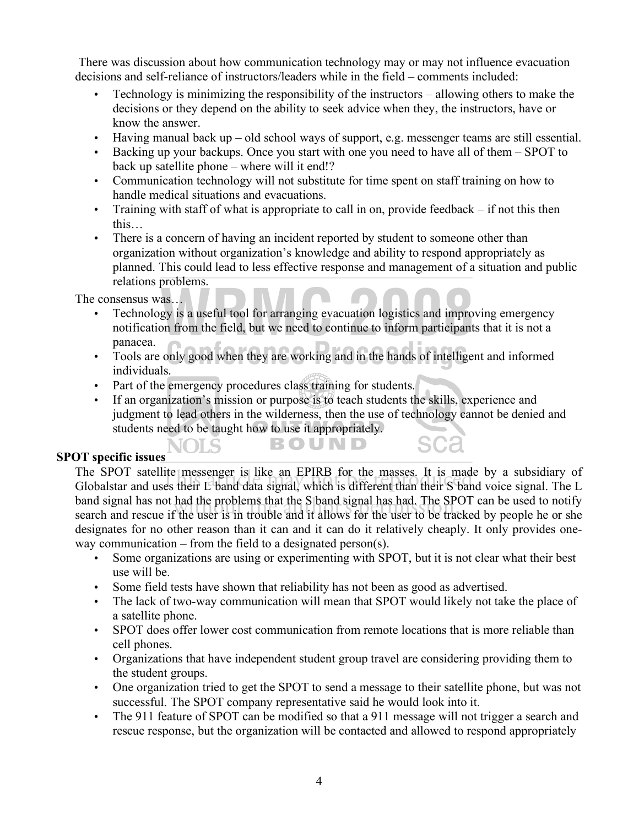There was discussion about how communication technology may or may not influence evacuation decisions and self-reliance of instructors/leaders while in the field – comments included:

- Technology is minimizing the responsibility of the instructors allowing others to make the decisions or they depend on the ability to seek advice when they, the instructors, have or know the answer.
- Having manual back up old school ways of support, e.g. messenger teams are still essential.
- Backing up your backups. Once you start with one you need to have all of them SPOT to back up satellite phone – where will it end!?
- Communication technology will not substitute for time spent on staff training on how to handle medical situations and evacuations.
- Training with staff of what is appropriate to call in on, provide feedback if not this then this…
- There is a concern of having an incident reported by student to someone other than organization without organization's knowledge and ability to respond appropriately as planned. This could lead to less effective response and management of a situation and public relations problems.

The consensus was…

- Technology is a useful tool for arranging evacuation logistics and improving emergency notification from the field, but we need to continue to inform participants that it is not a panacea. as...<br>gy is a useful tool for arranging evacuation logistics and impro<br>on from the field, but we need to continue to inform participant
- Tools are only good when they are working and in the hands of intelligent and informed individuals individuals.
- Part of the emergency procedures class training for students.

NOLS

• If an organization's mission or purpose is to teach students the skills, experience and judgment to lead others in the wilderness, then the use of technology cannot be denied and students need to be taught how to use it appropriately.

**BOUND** 

### **SPOT specific issues**

The SPOT satellite messenger is like an EPIRB for the masses. It is made by a subsidiary of The SPOT satellite messenger is like an EPIRB for the masses. It is made by a subsidiary of Globalstar and uses their L band data signal, which is different than their S band voice signal. The L band signal has not had the problems that the S band signal has had. The SPOT can be used to notify band signal has not had the problems that the S band signal has had. The SPOT can be used to notify search and rescue if the user is in trouble and it allows for the user to be tracked by people he or she designates for no other reason than it can and it can do it relatively cheaply. It only provides oneway communication – from the field to a designated person(s).

- Some organizations are using or experimenting with SPOT, but it is not clear what their best use will be.
- Some field tests have shown that reliability has not been as good as advertised.
- The lack of two-way communication will mean that SPOT would likely not take the place of a satellite phone.
- SPOT does offer lower cost communication from remote locations that is more reliable than cell phones.
- Organizations that have independent student group travel are considering providing them to the student groups.
- One organization tried to get the SPOT to send a message to their satellite phone, but was not successful. The SPOT company representative said he would look into it.
- The 911 feature of SPOT can be modified so that a 911 message will not trigger a search and rescue response, but the organization will be contacted and allowed to respond appropriately